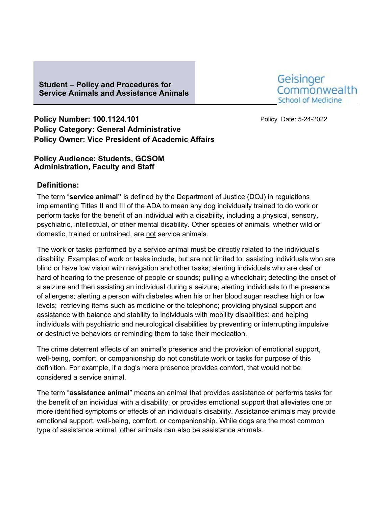## **Student – Policy and Procedures for Service Animals and Assistance Animals**



**Policy Number: 100.1124.101 Policy Date: 5-24-2022 Policy Category: General Administrative Policy Owner: Vice President of Academic Affairs**

#### **Policy Audience: Students, GCSOM Administration, Faculty and Staff**

## **Definitions:**

The term "**service animal"** is defined by the Department of Justice (DOJ) in regulations implementing Titles II and III of the ADA to mean any dog individually trained to do work or perform tasks for the benefit of an individual with a disability, including a physical, sensory, psychiatric, intellectual, or other mental disability. Other species of animals, whether wild or domestic, trained or untrained, are not service animals.

The work or tasks performed by a service animal must be directly related to the individual's disability. Examples of work or tasks include, but are not limited to: assisting individuals who are blind or have low vision with navigation and other tasks; alerting individuals who are deaf or hard of hearing to the presence of people or sounds; pulling a wheelchair; detecting the onset of a seizure and then assisting an individual during a seizure; alerting individuals to the presence of allergens; alerting a person with diabetes when his or her blood sugar reaches high or low levels; retrieving items such as medicine or the telephone; providing physical support and assistance with balance and stability to individuals with mobility disabilities; and helping individuals with psychiatric and neurological disabilities by preventing or interrupting impulsive or destructive behaviors or reminding them to take their medication.

The crime deterrent effects of an animal's presence and the provision of emotional support, well-being, comfort, or companionship do not constitute work or tasks for purpose of this definition. For example, if a dog's mere presence provides comfort, that would not be considered a service animal.

The term "**assistance animal**" means an animal that provides assistance or performs tasks for the benefit of an individual with a disability, or provides emotional support that alleviates one or more identified symptoms or effects of an individual's disability. Assistance animals may provide emotional support, well-being, comfort, or companionship. While dogs are the most common type of assistance animal, other animals can also be assistance animals.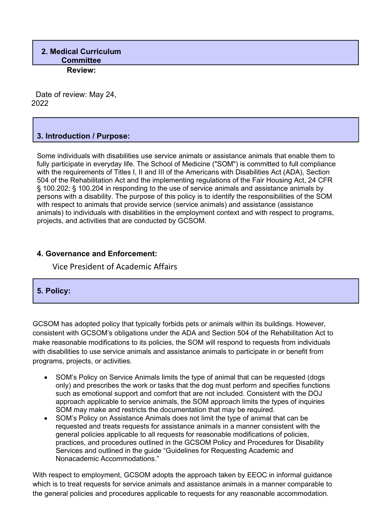### **2. Medical Curriculum Committee Review:**

Date of review: May 24, 2022

# **3. Introduction / Purpose:**

Some individuals with disabilities use service animals or assistance animals that enable them to fully participate in everyday life. The School of Medicine ("SOM") is committed to full compliance with the requirements of Titles I, II and III of the Americans with Disabilities Act (ADA), Section 504 of the Rehabilitation Act and the implementing regulations of the Fair Housing Act, 24 CFR § 100.202: § 100.204 in responding to the use of service animals and assistance animals by persons with a disability. The purpose of this policy is to identify the responsibilities of the SOM with respect to animals that provide service (service animals) and assistance (assistance animals) to individuals with disabilities in the employment context and with respect to programs, projects, and activities that are conducted by GCSOM.

### **4. Governance and Enforcement:**

Vice President of Academic Affairs

# **5. Policy:**

GCSOM has adopted policy that typically forbids pets or animals within its buildings. However, consistent with GCSOM's obligations under the ADA and Section 504 of the Rehabilitation Act to make reasonable modifications to its policies, the SOM will respond to requests from individuals with disabilities to use service animals and assistance animals to participate in or benefit from programs, projects, or activities.

- SOM's Policy on Service Animals limits the type of animal that can be requested (dogs only) and prescribes the work or tasks that the dog must perform and specifies functions such as emotional support and comfort that are not included. Consistent with the DOJ approach applicable to service animals, the SOM approach limits the types of inquiries SOM may make and restricts the documentation that may be required.
- SOM's Policy on Assistance Animals does not limit the type of animal that can be requested and treats requests for assistance animals in a manner consistent with the general policies applicable to all requests for reasonable modifications of policies, practices, and procedures outlined in the GCSOM Policy and Procedures for Disability Services and outlined in the guide "Guidelines for Requesting Academic and Nonacademic Accommodations."

With respect to employment, GCSOM adopts the approach taken by EEOC in informal guidance which is to treat requests for service animals and assistance animals in a manner comparable to the general policies and procedures applicable to requests for any reasonable accommodation.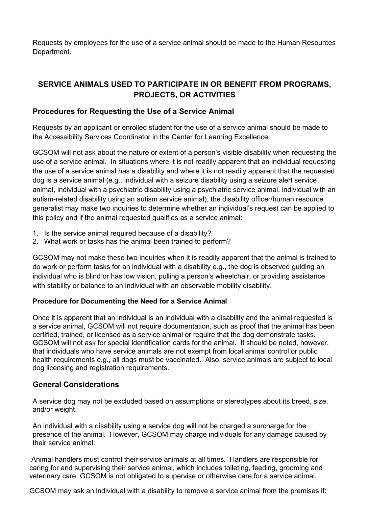Requests by employees for the use of a service animal should be made to the Human Resources Department.

# **SERVICE ANIMALS USED TO PARTICIPATE IN OR BENEFIT FROM PROGRAMS, PROJECTS, OR ACTIVITIES**

## **Procedures for Requesting the Use of a Service Animal**

Requests by an applicant or enrolled student for the use of a service animal should be made to the Accessibility Services Coordinator in the Center for Learning Excellence.

GCSOM will not ask about the nature or extent of a person's visible disability when requesting the use of a service animal. In situations where it is not readily apparent that an individual requesting the use of a service animal has a disability and where it is not readily apparent that the requested dog is a service animal (e.g., individual with a seizure disability using a seizure alert service animal, individual with a psychiatric disability using a psychiatric service animal, individual with an autism-related disability using an autism service animal), the disability officer/human resource generalist may make two inquiries to determine whether an individual's request can be applied to this policy and if the animal requested qualifies as a service animal:

- 1. Is the service animal required because of a disability?
- 2. What work or tasks has the animal been trained to perform?

GCSOM may not make these two inquiries when it is readily apparent that the animal is trained to do work or perform tasks for an individual with a disability e.g., the dog is observed guiding an individual who is blind or has low vision, pulling a person's wheelchair, or providing assistance with stability or balance to an individual with an observable mobility disability.

### **Procedure for Documenting the Need for a Service Animal**

Once it is apparent that an individual is an individual with a disability and the animal requested is a service animal, GCSOM will not require documentation, such as proof that the animal has been certified, trained, or licensed as a service animal or require that the dog demonstrate tasks. GCSOM will not ask for special identification cards for the animal. It should be noted, however, that individuals who have service animals are not exempt from local animal control or public health requirements e.g., all dogs must be vaccinated. Also, service animals are subject to local dog licensing and registration requirements.

### **General Considerations**

A service dog may not be excluded based on assumptions or stereotypes about its breed, size, and/or weight.

An individual with a disability using a service dog will not be charged a surcharge for the presence of the animal. However, GCSOM may charge individuals for any damage caused by their service animal.

Animal handlers must control their service animals at all times. Handlers are responsible for caring for and supervising their service animal, which includes toileting, feeding, grooming and veterinary care. GCSOM is not obligated to supervise or otherwise care for a service animal.

GCSOM may ask an individual with a disability to remove a service animal from the premises if: